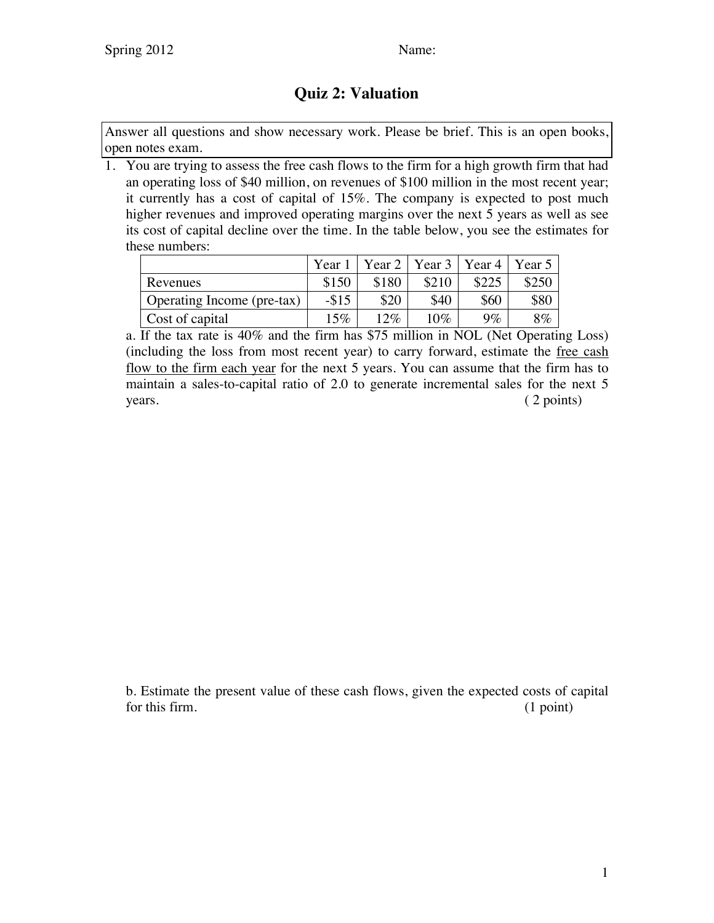## **Quiz 2: Valuation**

Answer all questions and show necessary work. Please be brief. This is an open books, open notes exam.

1. You are trying to assess the free cash flows to the firm for a high growth firm that had an operating loss of \$40 million, on revenues of \$100 million in the most recent year; it currently has a cost of capital of 15%. The company is expected to post much higher revenues and improved operating margins over the next 5 years as well as see its cost of capital decline over the time. In the table below, you see the estimates for these numbers:

|                            | Year 1  |       | Year 2   Year 3   Year 4   Year 5 |       |       |
|----------------------------|---------|-------|-----------------------------------|-------|-------|
| Revenues                   | \$150   | \$180 | \$210                             | \$225 | \$250 |
| Operating Income (pre-tax) | $- $15$ | \$20  | \$40                              | \$60  | \$80  |
| Cost of capital            | $15\%$  | 12%   | 10%                               | $9\%$ | 8%    |

a. If the tax rate is 40% and the firm has \$75 million in NOL (Net Operating Loss) (including the loss from most recent year) to carry forward, estimate the free cash flow to the firm each year for the next 5 years. You can assume that the firm has to maintain a sales-to-capital ratio of 2.0 to generate incremental sales for the next 5 years. (2 points)

b. Estimate the present value of these cash flows, given the expected costs of capital for this firm. (1 point) (1 point)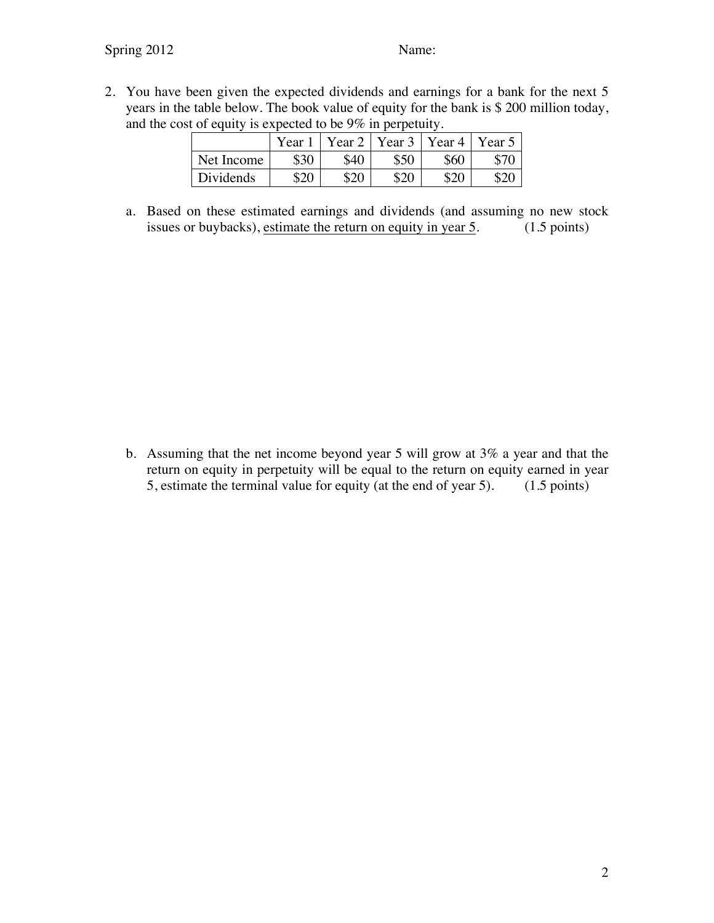2. You have been given the expected dividends and earnings for a bank for the next 5 years in the table below. The book value of equity for the bank is \$ 200 million today, and the cost of equity is expected to be 9% in perpetuity.

|                  | Year <sup>1</sup> | Year 2 | Year 3 | Year 4 | Year 5 |
|------------------|-------------------|--------|--------|--------|--------|
| Net Income       | \$30              | \$40   | \$50   | \$60   | ጉግር    |
| <b>Dividends</b> | \$20              | \$20   | ¢ኅ∩    | . ሳሶ   |        |

a. Based on these estimated earnings and dividends (and assuming no new stock issues or buybacks), estimate the return on equity in year 5. (1.5 points)

b. Assuming that the net income beyond year 5 will grow at 3% a year and that the return on equity in perpetuity will be equal to the return on equity earned in year 5, estimate the terminal value for equity (at the end of year 5). (1.5 points)